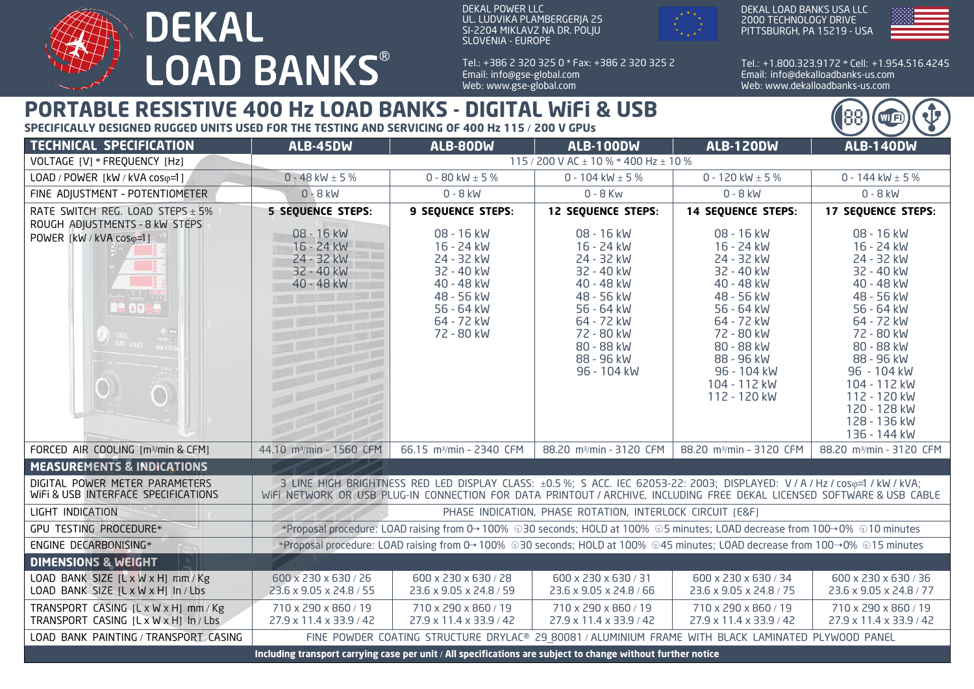

DEKAL POWER LLC UL. LUDVIKA PLAMBERGERJA 25 SI-2204 MIKLAVZ NA DR. POLJU SLOVENIA - EUROPE



DEKAL LOAD BANKS USA LLC 2000 TECHNOLOGY DRIVE PITTSBURGH, PA 15219 - USA



Wi G

Tel.: + 1.800.323.9172 \* Cell: + 1.954.516.4245 Email: info@dekalloadbanks-us.com Web: www.dekalloadbanks-us.com

## **PORTABLE RESISTIVE 400 Hz LOAD BANKS - DIGITAL WiFi & USB**

**SPECIFICALLY DESIGNED RUGGED UNITS USED FOR THE TESTING AND SERVICING OF 400 Hz 115** / **200 V GPUs**

| <b>TECHNICAL SPECIFICATION</b>                                                                                                | <b>ALB-45DW</b>                                                                                                                                                                                                                                       | ALB-80DW                                                                                                                   | <b>ALB-100DW</b>                                                                                                                                                      | <b>ALB-120DW</b>                                                                                                                                                                                      | <b>ALB-140DW</b>                                                                                                                                                                                                                                      |
|-------------------------------------------------------------------------------------------------------------------------------|-------------------------------------------------------------------------------------------------------------------------------------------------------------------------------------------------------------------------------------------------------|----------------------------------------------------------------------------------------------------------------------------|-----------------------------------------------------------------------------------------------------------------------------------------------------------------------|-------------------------------------------------------------------------------------------------------------------------------------------------------------------------------------------------------|-------------------------------------------------------------------------------------------------------------------------------------------------------------------------------------------------------------------------------------------------------|
| VOLTAGE [V] * FREQUENCY [Hz]                                                                                                  | 115 / 200 V AC $\pm$ 10 % * 400 Hz $\pm$ 10 %                                                                                                                                                                                                         |                                                                                                                            |                                                                                                                                                                       |                                                                                                                                                                                                       |                                                                                                                                                                                                                                                       |
| LOAD / POWER [kW / kVA coso=1]                                                                                                | 0 - 48 kW $\pm$ 5 %                                                                                                                                                                                                                                   | 0 - 80 kW $\pm$ 5 %                                                                                                        | 0 - 104 kW $\pm$ 5 %                                                                                                                                                  | 0 - 120 kW $\pm$ 5 %                                                                                                                                                                                  | 0 - 144 kW $\pm$ 5 %                                                                                                                                                                                                                                  |
| FINE ADJUSTMENT - POTENTIOMETER                                                                                               | $0 - 8$ kW                                                                                                                                                                                                                                            | $0 - 8$ kW                                                                                                                 | $0 - 8$ Kw                                                                                                                                                            | $0 - 8$ kW                                                                                                                                                                                            | $0 - 8$ kW                                                                                                                                                                                                                                            |
| RATE SWITCH REG. LOAD STEPS $\pm$ 5%<br>ROUGH ADJUSTMENTS - 8 kW STEPS                                                        | <b>5 SEQUENCE STEPS:</b>                                                                                                                                                                                                                              | <b>9 SEQUENCE STEPS:</b>                                                                                                   | <b>12 SEQUENCE STEPS:</b>                                                                                                                                             | <b>14 SEQUENCE STEPS:</b>                                                                                                                                                                             | <b>17 SEQUENCE STEPS:</b>                                                                                                                                                                                                                             |
| POWER [kW / kVA coso=1]<br>$= -2$<br><b>OB AVEL</b><br>$\bigotimes$ EKAL $\bigotimes$ DAD AN<br>OAD ANKS ALB 120<br>$\bigcap$ | 08 - 16 kW<br>16 - 24 kW<br>24 - 32 kW<br>32 - 40 kW<br>40 - 48 kW                                                                                                                                                                                    | 08 - 16 kW<br>16 - 24 kW<br>24 - 32 kW<br>32 - 40 kW<br>40 - 48 kW<br>48 - 56 kW<br>56 - 64 kW<br>64 - 72 kW<br>72 - 80 kW | 08 - 16 kW<br>16 - 24 kW<br>24 - 32 kW<br>32 - 40 kW<br>40 - 48 kW<br>48 - 56 kW<br>56 - 64 kW<br>64 - 72 kW<br>72 - 80 kW<br>80 - 88 kW<br>88 - 96 kW<br>96 - 104 kW | 08 - 16 kW<br>16 - 24 kW<br>24 - 32 kW<br>32 - 40 kW<br>40 - 48 kW<br>48 - 56 kW<br>56 - 64 kW<br>64 - 72 kW<br>72 - 80 kW<br>80 - 88 kW<br>88 - 96 kW<br>96 - 104 kW<br>104 - 112 kW<br>112 - 120 kW | 08 - 16 kW<br>16 - 24 kW<br>24 - 32 kW<br>32 - 40 kW<br>40 - 48 kW<br>48 - 56 kW<br>56 - 64 kW<br>64 - 72 kW<br>72 - 80 kW<br>80 - 88 kW<br>88 - 96 kW<br>96 - 104 kW<br>104 - 112 kW<br>112 - 120 kW<br>120 - 128 kW<br>128 - 136 kW<br>136 - 144 kW |
| FORCED AIR COOLING [m <sup>3</sup> /min & CFM]                                                                                | 44.10 m <sup>3</sup> /min - 1560 CFM                                                                                                                                                                                                                  | 66.15 m <sup>3</sup> /min - 2340 CFM                                                                                       | 88.20 m <sup>3</sup> /min - 3120 CFM                                                                                                                                  | 88.20 m <sup>3</sup> /min - 3120 CFM                                                                                                                                                                  | 88.20 m <sup>3</sup> /min - 3120 CFM                                                                                                                                                                                                                  |
| <b>MEASUREMENTS &amp; INDICATIONS</b>                                                                                         |                                                                                                                                                                                                                                                       |                                                                                                                            |                                                                                                                                                                       |                                                                                                                                                                                                       |                                                                                                                                                                                                                                                       |
| DIGITAL POWER METER PARAMETERS<br>WIFI & USB INTERFACE SPECIFICATIONS                                                         | 3 LINE HIGH BRIGHTNESS RED LED DISPLAY CLASS: ±0.5 %; S ACC. IEC 62053-22: 2003; DISPLAYED: V / A / Hz / coso=1 / kW / kVA;<br>WIFI NETWORK OR USB PLUG-IN CONNECTION FOR DATA PRINTOUT / ARCHIVE, INCLUDING FREE DEKAL LICENSED SOFTWARE & USB CABLE |                                                                                                                            |                                                                                                                                                                       |                                                                                                                                                                                                       |                                                                                                                                                                                                                                                       |
| LIGHT INDICATION                                                                                                              | PHASE INDICATION, PHASE ROTATION, INTERLOCK CIRCUIT [E&F]                                                                                                                                                                                             |                                                                                                                            |                                                                                                                                                                       |                                                                                                                                                                                                       |                                                                                                                                                                                                                                                       |
| GPU TESTING PROCEDURE*                                                                                                        | *Proposal procedure: LOAD raising from 0→100% $\oplus$ 30 seconds; HOLD at 100% $\oplus$ 5 minutes; LOAD decrease from 100→0% $\oplus$ 10 minutes                                                                                                     |                                                                                                                            |                                                                                                                                                                       |                                                                                                                                                                                                       |                                                                                                                                                                                                                                                       |
| ENGINE DECARBONISING*                                                                                                         | *Proposal procedure: LOAD raising from 0→100% 030 seconds; HOLD at 100% 045 minutes; LOAD decrease from 100→0% 015 minutes                                                                                                                            |                                                                                                                            |                                                                                                                                                                       |                                                                                                                                                                                                       |                                                                                                                                                                                                                                                       |
| <b>DIMENSIONS &amp; WEIGHT</b>                                                                                                |                                                                                                                                                                                                                                                       |                                                                                                                            |                                                                                                                                                                       |                                                                                                                                                                                                       |                                                                                                                                                                                                                                                       |
| LOAD BANK SIZE [L x W x H] mm/Kg<br>LOAD BANK SIZE [L x W x H] In / Lbs                                                       | 600 x 230 x 630 / 26<br>23.6 x 9.05 x 24.8 / 55                                                                                                                                                                                                       | 600 x 230 x 630 / 28<br>23.6 x 9.05 x 24.8 / 59                                                                            | 600 x 230 x 630 / 31<br>23.6 x 9.05 x 24.8 / 66                                                                                                                       | 600 x 230 x 630 / 34<br>23.6 x 9.05 x 24.8 / 75                                                                                                                                                       | 600 x 230 x 630 / 36<br>23.6 x 9.05 x 24.8 / 77                                                                                                                                                                                                       |
| TRANSPORT CASING [L x W x H] mm / Kg<br>TRANSPORT CASING [L x W x H] In / Lbs                                                 | 710 x 290 x 860 / 19<br>27.9 x 11.4 x 33.9 / 42                                                                                                                                                                                                       | 710 x 290 x 860 / 19<br>27.9 x 11.4 x 33.9 / 42                                                                            | 710 x 290 x 860 / 19<br>27.9 x 11.4 x 33.9 / 42                                                                                                                       | 710 x 290 x 860 / 19<br>27.9 x 11.4 x 33.9 / 42                                                                                                                                                       | 710 x 290 x 860 / 19<br>27.9 x 11.4 x 33.9 / 42                                                                                                                                                                                                       |
| LOAD BANK PAINTING / TRANSPORT CASING                                                                                         | FINE POWDER COATING STRUCTURE DRYLAC® 29 80081 / ALUMINIUM FRAME WITH BLACK LAMINATED PLYWOOD PANEL                                                                                                                                                   |                                                                                                                            |                                                                                                                                                                       |                                                                                                                                                                                                       |                                                                                                                                                                                                                                                       |
| Including transport carrying case per unit / All specifications are subject to change without further notice                  |                                                                                                                                                                                                                                                       |                                                                                                                            |                                                                                                                                                                       |                                                                                                                                                                                                       |                                                                                                                                                                                                                                                       |